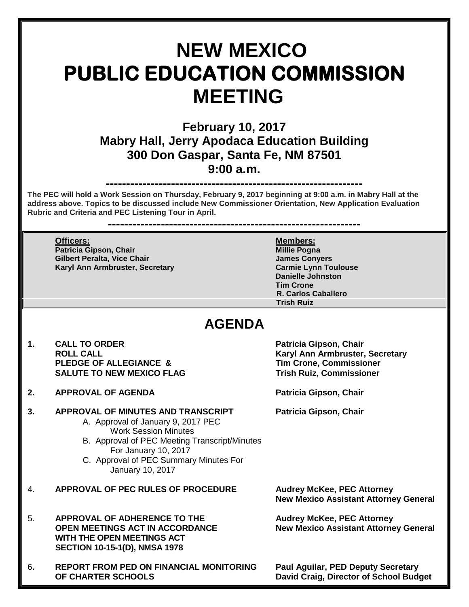# **NEW MEXICO PUBLIC EDUCATION COMMISSION MEETING**

# **February 10, 2017 Mabry Hall, Jerry Apodaca Education Building 300 Don Gaspar, Santa Fe, NM 87501 9:00 a.m.**

# **---------------------------------------------------------------**

**The PEC will hold a Work Session on Thursday, February 9, 2017 beginning at 9:00 a.m. in Mabry Hall at the address above. Topics to be discussed include New Commissioner Orientation, New Application Evaluation Rubric and Criteria and PEC Listening Tour in April.** 

**--------------------------------------------------------------**

**Officers: Members: Patricia Gipson, Chair Gilbert Peralta, Vice Chair James Conyers Karyl Ann Armbruster, Secretary** 

**Danielle Johnston Tim Crone R. Carlos Caballero Trish Ruiz**

# **AGENDA**

- 1. CALL TO ORDER **Patricia Gipson, Chair**<br>ROLL CALL **ROUL PLEDGE OF ALLEGIANCE & Tim Crone, Commissioner SALUTE TO NEW MEXICO FLAG**
- **2. APPROVAL OF AGENDA Patricia Gipson, Chair**

### **3. APPROVAL OF MINUTES AND TRANSCRIPT Patricia Gipson, Chair**

- A. Approval of January 9, 2017 PEC Work Session Minutes
- B. Approval of PEC Meeting Transcript/Minutes For January 10, 2017
- C. Approval of PEC Summary Minutes For January 10, 2017
- 4. **APPROVAL OF PEC RULES OF PROCEDURE Audrey McKee, PEC Attorney**
- 5. **APPROVAL OF ADHERENCE TO THE Audrey McKee, PEC Attorney OPEN MEETINGS ACT IN ACCORDANCE New Mexico Assistant Attorney General WITH THE OPEN MEETINGS ACT SECTION 10-15-1(D), NMSA 1978**
- 6**. REPORT FROM PED ON FINANCIAL MONITORING Paul Aguilar, PED Deputy Secretary OF CHARTER SCHOOLS David Craig, Director of School Budget**

**Karyl Ann Armbruster, Secretary<br>Tim Crone, Commissioner** 

**New Mexico Assistant Attorney General**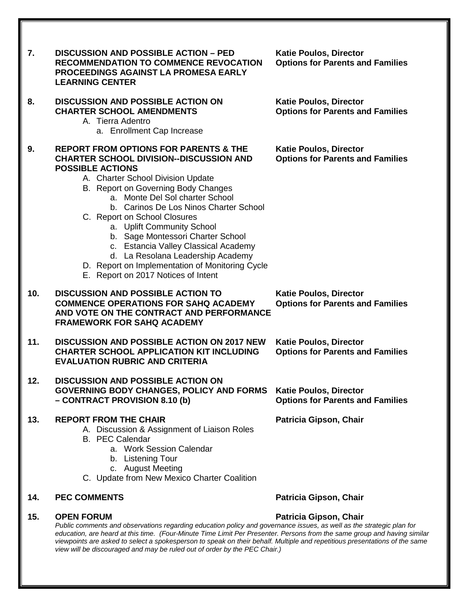| 7.  | <b>DISCUSSION AND POSSIBLE ACTION - PED</b><br><b>RECOMMENDATION TO COMMENCE REVOCATION</b><br>PROCEEDINGS AGAINST LA PROMESA EARLY<br><b>LEARNING CENTER</b>                                                                                                                                                                                                                                                                                                                                                                                                    | <b>Katie Poulos, Director</b><br><b>Options for Parents and Families</b> |
|-----|------------------------------------------------------------------------------------------------------------------------------------------------------------------------------------------------------------------------------------------------------------------------------------------------------------------------------------------------------------------------------------------------------------------------------------------------------------------------------------------------------------------------------------------------------------------|--------------------------------------------------------------------------|
| 8.  | <b>DISCUSSION AND POSSIBLE ACTION ON</b><br><b>CHARTER SCHOOL AMENDMENTS</b><br>A. Tierra Adentro<br>a. Enrollment Cap Increase                                                                                                                                                                                                                                                                                                                                                                                                                                  | <b>Katie Poulos, Director</b><br><b>Options for Parents and Families</b> |
| 9.  | <b>REPORT FROM OPTIONS FOR PARENTS &amp; THE</b><br><b>CHARTER SCHOOL DIVISION--DISCUSSION AND</b><br><b>POSSIBLE ACTIONS</b><br>A. Charter School Division Update<br>B. Report on Governing Body Changes<br>a. Monte Del Sol charter School<br>b. Carinos De Los Ninos Charter School<br>C. Report on School Closures<br>a. Uplift Community School<br>b. Sage Montessori Charter School<br>c. Estancia Valley Classical Academy<br>d. La Resolana Leadership Academy<br>D. Report on Implementation of Monitoring Cycle<br>E. Report on 2017 Notices of Intent | <b>Katie Poulos, Director</b><br><b>Options for Parents and Families</b> |
| 10. | <b>DISCUSSION AND POSSIBLE ACTION TO</b><br><b>COMMENCE OPERATIONS FOR SAHQ ACADEMY</b><br>AND VOTE ON THE CONTRACT AND PERFORMANCE<br><b>FRAMEWORK FOR SAHQ ACADEMY</b>                                                                                                                                                                                                                                                                                                                                                                                         | <b>Katie Poulos, Director</b><br><b>Options for Parents and Families</b> |
| 11. | <b>DISCUSSION AND POSSIBLE ACTION ON 2017 NEW</b><br><b>CHARTER SCHOOL APPLICATION KIT INCLUDING</b><br><b>EVALUATION RUBRIC AND CRITERIA</b>                                                                                                                                                                                                                                                                                                                                                                                                                    | <b>Katie Poulos, Director</b><br><b>Options for Parents and Families</b> |
| 12. | <b>DISCUSSION AND POSSIBLE ACTION ON</b><br><b>GOVERNING BODY CHANGES, POLICY AND FORMS</b><br>- CONTRACT PROVISION 8.10 (b)                                                                                                                                                                                                                                                                                                                                                                                                                                     | <b>Katie Poulos, Director</b><br><b>Options for Parents and Families</b> |
| 13. | <b>REPORT FROM THE CHAIR</b><br>A. Discussion & Assignment of Liaison Roles<br><b>B.</b> PEC Calendar<br>a. Work Session Calendar<br>b. Listening Tour<br>c. August Meeting<br>C. Update from New Mexico Charter Coalition                                                                                                                                                                                                                                                                                                                                       | Patricia Gipson, Chair                                                   |
| 14. | <b>PEC COMMENTS</b>                                                                                                                                                                                                                                                                                                                                                                                                                                                                                                                                              | Patricia Gipson, Chair                                                   |
| 15. | <b>OPEN FORUM</b><br>Public comments and observations regarding education policy and governance issues, as well as the strategic plan for<br>education, are heard at this time. (Four-Minute Time Limit Per Presenter. Persons from the same group and having similar<br>viewpoints are asked to select a spokesperson to speak on their behalf. Multiple and repetitious presentations of the same                                                                                                                                                              | Patricia Gipson, Chair                                                   |

*view will be discouraged and may be ruled out of order by the PEC Chair.)*